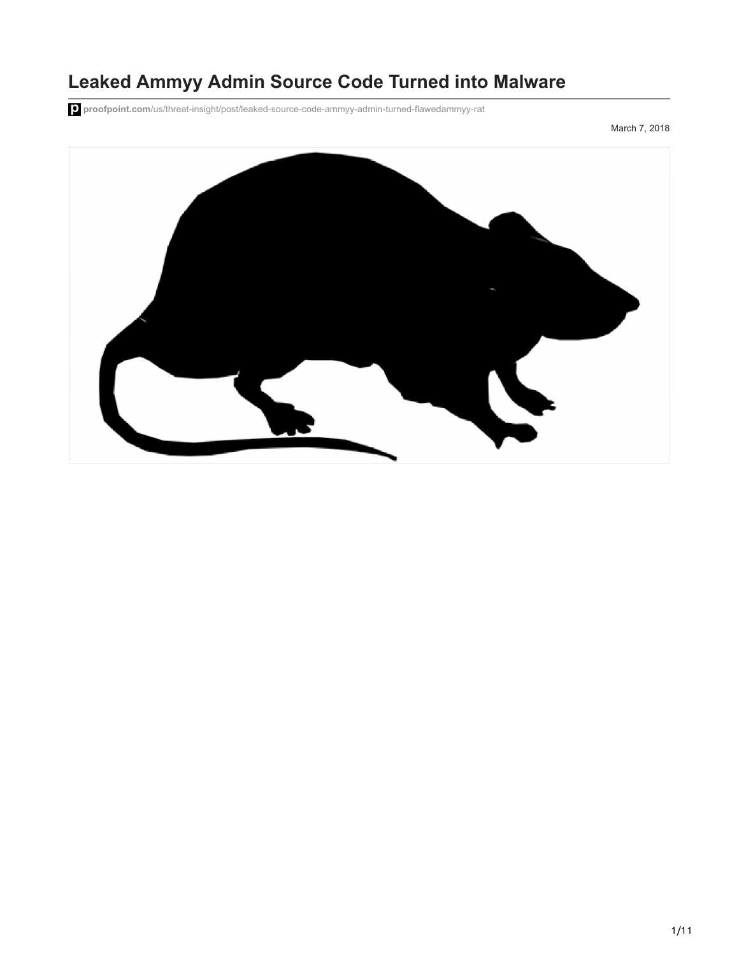# **Leaked Ammyy Admin Source Code Turned into Malware**

**proofpoint.com**[/us/threat-insight/post/leaked-source-code-ammyy-admin-turned-flawedammyy-rat](https://www.proofpoint.com/us/threat-insight/post/leaked-source-code-ammyy-admin-turned-flawedammyy-rat)

March 7, 2018

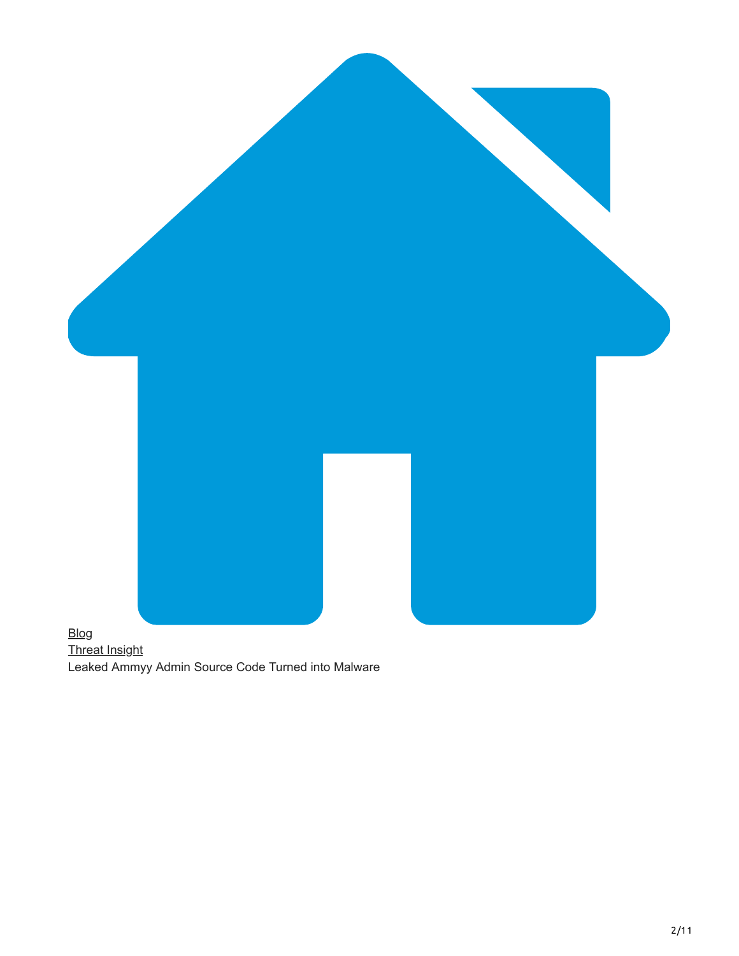

[Threat Insight](https://www.proofpoint.com/us/blog/threat-insight) Leaked Ammyy Admin Source Code Turned into Malware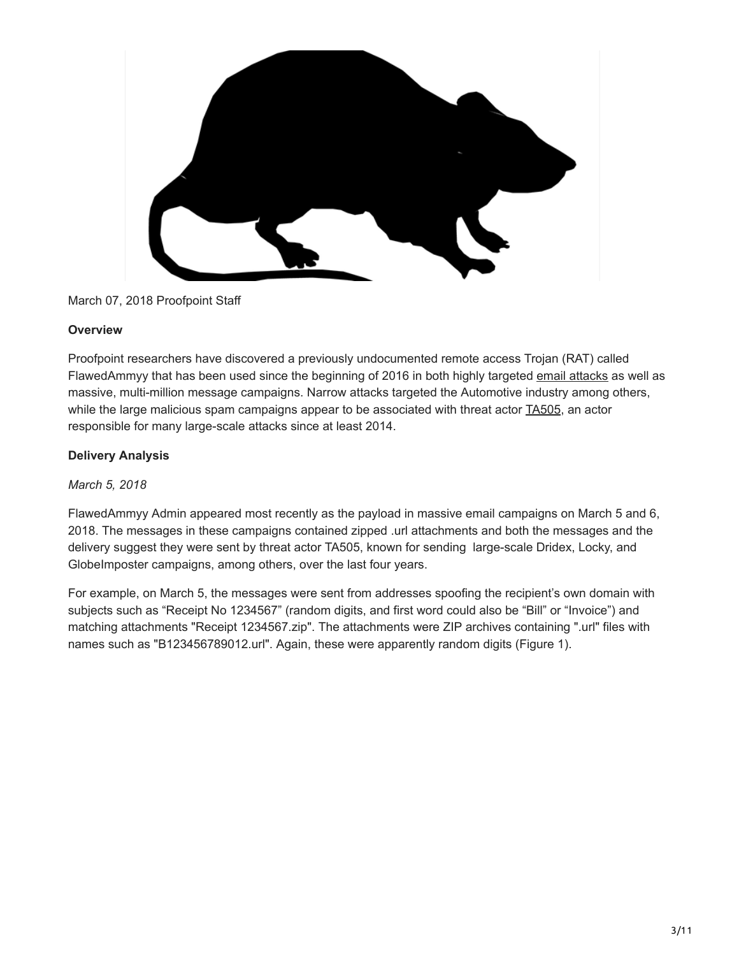

## March 07, 2018 Proofpoint Staff

### **Overview**

Proofpoint researchers have discovered a previously undocumented remote access Trojan (RAT) called FlawedAmmyy that has been used since the beginning of 2016 in both highly targeted [email attacks](https://www.proofpoint.com/us/email-visibility) as well as massive, multi-million message campaigns. Narrow attacks targeted the Automotive industry among others, while the large malicious spam campaigns appear to be associated with threat actor [TA505,](https://www.proofpoint.com/us/threat-insight/post/threat-actor-profile-ta505-dridex-globeimposter) an actor responsible for many large-scale attacks since at least 2014.

## **Delivery Analysis**

*March 5, 2018*

FlawedAmmyy Admin appeared most recently as the payload in massive email campaigns on March 5 and 6, 2018. The messages in these campaigns contained zipped .url attachments and both the messages and the delivery suggest they were sent by threat actor TA505, known for sending large-scale Dridex, Locky, and GlobeImposter campaigns, among others, over the last four years.

For example, on March 5, the messages were sent from addresses spoofing the recipient's own domain with subjects such as "Receipt No 1234567" (random digits, and first word could also be "Bill" or "Invoice") and matching attachments "Receipt 1234567.zip". The attachments were ZIP archives containing ".url" files with names such as "B123456789012.url". Again, these were apparently random digits (Figure 1).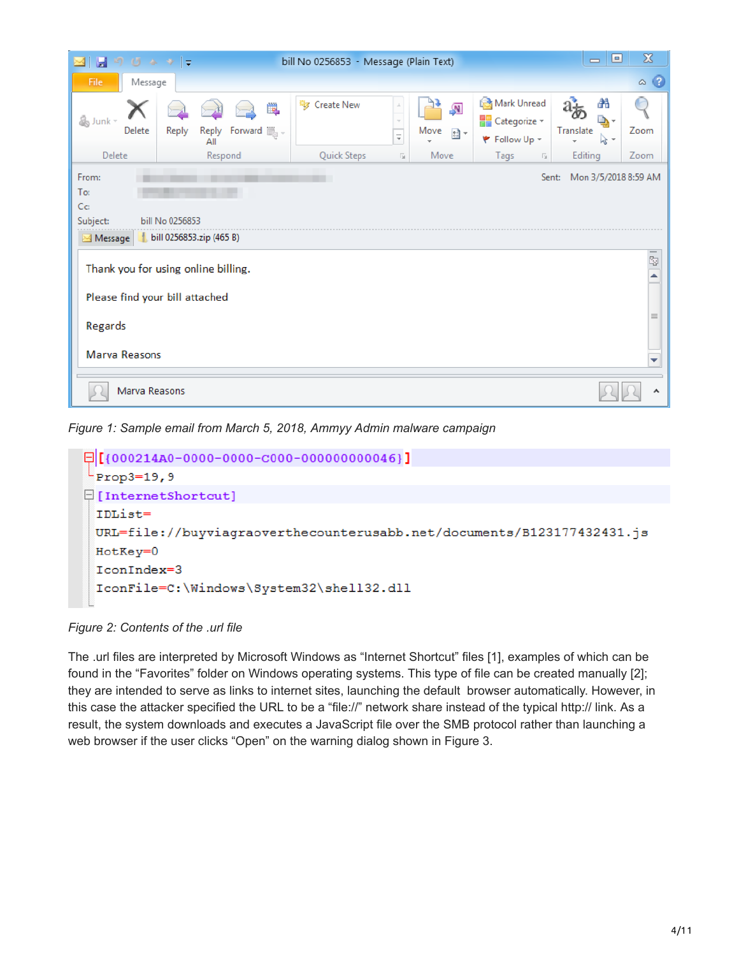| りじゅっ ー<br>Ы<br>$\geq$                          |                                                                    | bill No 0256853 - Message (Plain Text) |                                                                   |                                                     | ▣<br>$\qquad \qquad \blacksquare$       | $\mathbf{x}$      |
|------------------------------------------------|--------------------------------------------------------------------|----------------------------------------|-------------------------------------------------------------------|-----------------------------------------------------|-----------------------------------------|-------------------|
| File.<br>Message                               |                                                                    |                                        |                                                                   |                                                     |                                         | $\circ$ $\bullet$ |
| & Junk -<br>Delete                             | <b>D</b><br>Reply<br>Forward $\lim_{n \to \infty}$<br>Reply<br>All | <sup>特</sup> Create New                | $\sqrt{N}$<br>Move<br>$\frac{1}{2}$ -<br>$\overline{\phantom{a}}$ | Mark Unread<br><b>Categorize</b> v<br>₹ Follow Up + | æ<br>d, -<br>Translate<br>$\approx$ $-$ | Zoom              |
| Delete<br>From:                                | Respond                                                            | Quick Steps                            | Move<br>$\overline{\mathbb{R}}$                                   | Tags<br>$\overline{\mathbb{R}}$<br>Sent:            | Editing<br>Mon 3/5/2018 8:59 AM         | Zoom              |
| To:<br>$C_{\mathbf{C}}$<br>Subject:<br>Message | bill No 0256853<br>bill 0256853.zip (465 B)                        |                                        |                                                                   |                                                     |                                         |                   |
| Please find your bill attached                 | Thank you for using online billing.                                |                                        |                                                                   |                                                     |                                         | t,<br>▲           |
| Regards                                        |                                                                    |                                        |                                                                   |                                                     |                                         | $\equiv$          |
| <b>Marva Reasons</b>                           |                                                                    |                                        |                                                                   |                                                     |                                         | ▼                 |
| Marva Reasons                                  |                                                                    |                                        |                                                                   |                                                     |                                         | ۸                 |

*Figure 1: Sample email from March 5, 2018, Ammyy Admin malware campaign*



*Figure 2: Contents of the .url file*

The .url files are interpreted by Microsoft Windows as "Internet Shortcut" files [1], examples of which can be found in the "Favorites" folder on Windows operating systems. This type of file can be created manually [2]; they are intended to serve as links to internet sites, launching the default browser automatically. However, in this case the attacker specified the URL to be a "file://" network share instead of the typical http:// link. As a result, the system downloads and executes a JavaScript file over the SMB protocol rather than launching a web browser if the user clicks "Open" on the warning dialog shown in Figure 3.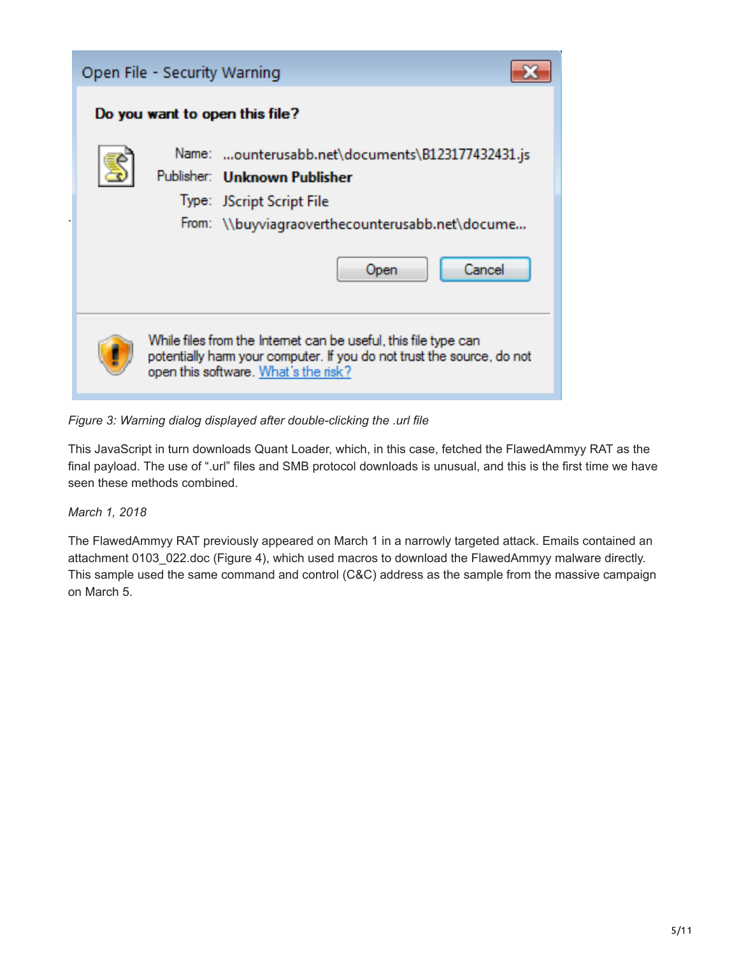| Open File - Security Warning                                                                                                                                                      |
|-----------------------------------------------------------------------------------------------------------------------------------------------------------------------------------|
| Do you want to open this file?                                                                                                                                                    |
| Name: ounterusabb.net\documents\B123177432431.js<br>Publisher: Unknown Publisher                                                                                                  |
| Type: JScript Script File<br>From: \\buyviagraoverthecounterusabb.net\docume                                                                                                      |
| Cancel<br>Open                                                                                                                                                                    |
| While files from the Internet can be useful, this file type can<br>potentially harm your computer. If you do not trust the source, do not<br>open this software. What's the risk? |

*Figure 3: Warning dialog displayed after double-clicking the .url file*

This JavaScript in turn downloads Quant Loader, which, in this case, fetched the FlawedAmmyy RAT as the final payload. The use of ".url" files and SMB protocol downloads is unusual, and this is the first time we have seen these methods combined.

*March 1, 2018*

The FlawedAmmyy RAT previously appeared on March 1 in a narrowly targeted attack. Emails contained an attachment 0103\_022.doc (Figure 4), which used macros to download the FlawedAmmyy malware directly. This sample used the same command and control (C&C) address as the sample from the massive campaign on March 5.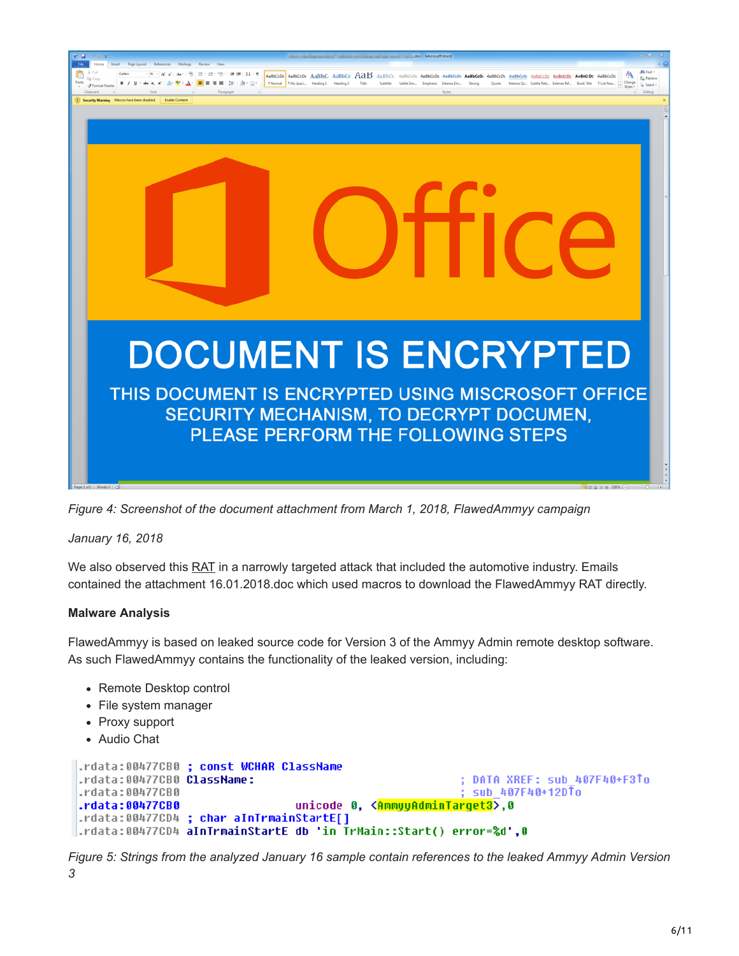

*Figure 4: Screenshot of the document attachment from March 1, 2018, FlawedAmmyy campaign*

*January 16, 2018*

We also observed this [RAT](https://www.proofpoint.com/us/threat-reference/malware) in a narrowly targeted attack that included the automotive industry. Emails contained the attachment 16.01.2018.doc which used macros to download the FlawedAmmyy RAT directly.

## **Malware Analysis**

FlawedAmmyy is based on leaked source code for Version 3 of the Ammyy Admin remote desktop software. As such FlawedAmmyy contains the functionality of the leaked version, including:

- Remote Desktop control
- File system manager
- Proxy support
- Audio Chat

```
.rdata:00477CB0 ; const WCHAR ClassName
.rdata:00477CB0 ClassName:
                                                         ; DATA XREF: sub 407F40+F3To
.rdata:00477CB0
                                                         ; sub 407F40+12DTo
                                 unicode 0, <AnnyyAdminTarget3>,0
.rdata:00477CB0
.rdata:00477CD4 ; char aInTrmainStartE[]
.rdata:00477CD4 aInTrmainStartE db 'in TrMain::Start() error=%d',0
```
*Figure 5: Strings from the analyzed January 16 sample contain references to the leaked Ammyy Admin Version 3*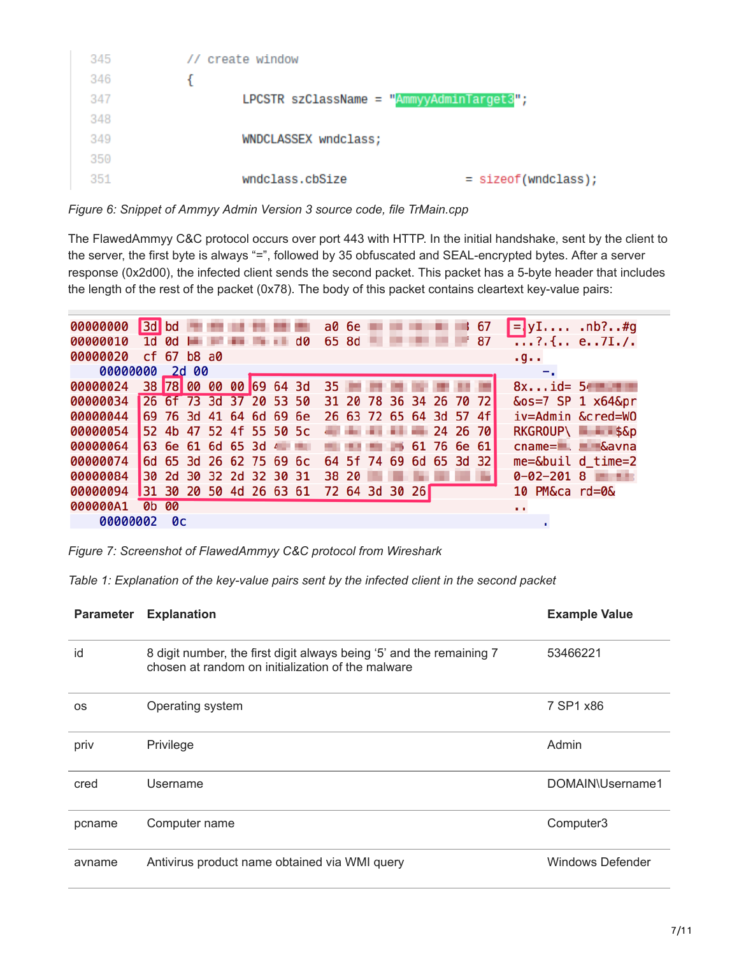| 345 | // create window                              |                       |
|-----|-----------------------------------------------|-----------------------|
| 346 |                                               |                       |
| 347 | LPCSTR szClassName = " $AmmyyAdminTarget3"$ ; |                       |
| 348 |                                               |                       |
| 349 | WNDCLASSEX wndclass;                          |                       |
| 350 |                                               |                       |
| 351 | wndclass.cbSize                               | $=$ sizeof(wndclass); |
|     |                                               |                       |

*Figure 6: Snippet of Ammyy Admin Version 3 source code, file TrMain.cpp*

The FlawedAmmyy C&C protocol occurs over port 443 with HTTP. In the initial handshake, sent by the client to the server, the first byte is always "=", followed by 35 obfuscated and SEAL-encrypted bytes. After a server response (0x2d00), the infected client sends the second packet. This packet has a 5-byte header that includes the length of the rest of the packet (0x78). The body of this packet contains cleartext key-value pairs:

| 00000000 | 3d bd                   |                         |       |  |  |    | a0 6e |  |                |  | 67                      | $= yI$ .nb?#g                                    |
|----------|-------------------------|-------------------------|-------|--|--|----|-------|--|----------------|--|-------------------------|--------------------------------------------------|
| 00000010 | 1d                      | <b>D</b>                |       |  |  | dØ | 65 8d |  |                |  | 87                      | $\overline{}$ .?.{ e7I./.                        |
| 00000020 |                         | $cf$ 67 b8 a0           |       |  |  |    |       |  |                |  |                         | .9.                                              |
| 00000000 |                         |                         | 2d 00 |  |  |    |       |  |                |  |                         |                                                  |
| 00000024 |                         | 38 78 00 00 00 69 64 3d |       |  |  |    | 35    |  |                |  |                         | $8x$ id= $54$                                    |
| 00000034 | 26 6f 73 3d 37 20 53 50 |                         |       |  |  |    |       |  |                |  | 31 20 78 36 34 26 70 72 | $&0s=7$ SP 1 $x64&0r$                            |
| 00000044 |                         | 69 76 3d 41 64 6d 69 6e |       |  |  |    |       |  |                |  | 26 63 72 65 64 3d 57 4f | iv=Admin &cred=W0                                |
| 00000054 |                         | 52 4b 47 52 4f 55 50 5c |       |  |  |    |       |  |                |  | 24 26 70                | RKGROUP\ \$&p                                    |
| 00000064 |                         | 63 6e 61 6d 65 3d       |       |  |  |    |       |  |                |  | 61 76 6e 61             | $c$ name= $\blacksquare$ . $\blacksquare$ & avna |
| 00000074 |                         | 6d 65 3d 26 62 75 69 6c |       |  |  |    |       |  |                |  | 64 5f 74 69 6d 65 3d 32 | $me = \delta b$ uil d_time=2                     |
| 00000084 | 30 2d 30 32 2d 32 30 31 |                         |       |  |  |    | 38 20 |  |                |  |                         | $0 - 02 - 2018$                                  |
| 00000094 | 31 30 20 50 4d 26 63 61 |                         |       |  |  |    |       |  | 72 64 3d 30 26 |  |                         | 10 PM&ca rd=0&                                   |
| 000000A1 |                         | 0b 00                   |       |  |  |    |       |  |                |  |                         | $\sim 10$                                        |
| 00000002 |                         | 0c                      |       |  |  |    |       |  |                |  |                         |                                                  |

*Figure 7: Screenshot of FlawedAmmyy C&C protocol from Wireshark*

*Table 1: Explanation of the key-value pairs sent by the infected client in the second packet*

| <b>Parameter</b> | <b>Explanation</b>                                                                                                        | <b>Example Value</b>    |
|------------------|---------------------------------------------------------------------------------------------------------------------------|-------------------------|
| id               | 8 digit number, the first digit always being '5' and the remaining 7<br>chosen at random on initialization of the malware | 53466221                |
| <b>OS</b>        | Operating system                                                                                                          | 7 SP1 x86               |
| priv             | Privilege                                                                                                                 | Admin                   |
| cred             | Username                                                                                                                  | DOMAIN\Username1        |
| pcname           | Computer name                                                                                                             | Computer3               |
| avname           | Antivirus product name obtained via WMI query                                                                             | <b>Windows Defender</b> |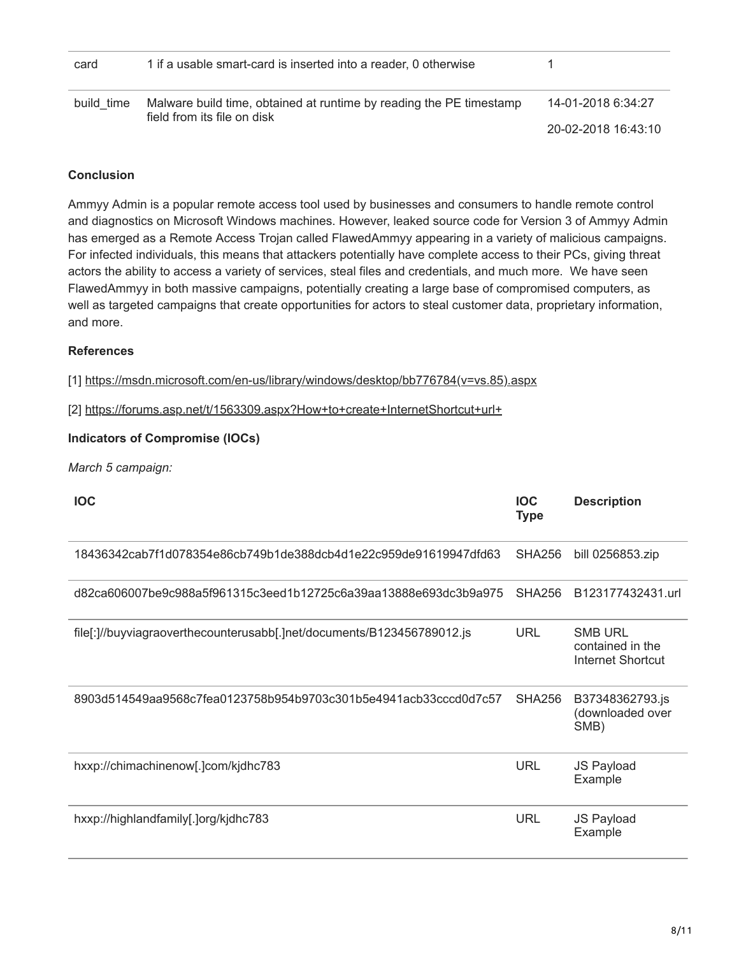| card       | 1 if a usable smart-card is inserted into a reader, 0 otherwise     |                     |
|------------|---------------------------------------------------------------------|---------------------|
| build time | Malware build time, obtained at runtime by reading the PE timestamp | 14-01-2018 6:34:27  |
|            | field from its file on disk                                         | 20-02-2018 16:43:10 |

### **Conclusion**

Ammyy Admin is a popular remote access tool used by businesses and consumers to handle remote control and diagnostics on Microsoft Windows machines. However, leaked source code for Version 3 of Ammyy Admin has emerged as a Remote Access Trojan called FlawedAmmyy appearing in a variety of malicious campaigns. For infected individuals, this means that attackers potentially have complete access to their PCs, giving threat actors the ability to access a variety of services, steal files and credentials, and much more. We have seen FlawedAmmyy in both massive campaigns, potentially creating a large base of compromised computers, as well as targeted campaigns that create opportunities for actors to steal customer data, proprietary information, and more.

## **References**

[1] [https://msdn.microsoft.com/en-us/library/windows/desktop/bb776784\(v=vs.85\).aspx](https://msdn.microsoft.com/en-us/library/windows/desktop/bb776784(v=vs.85).aspx)

[2] <https://forums.asp.net/t/1563309.aspx?How+to+create+InternetShortcut+url+>

### **Indicators of Compromise (IOCs)**

*March 5 campaign:*

| <b>IOC</b>                                                             | <b>IOC</b><br><b>Type</b> | <b>Description</b>                                             |
|------------------------------------------------------------------------|---------------------------|----------------------------------------------------------------|
| 18436342cab7f1d078354e86cb749b1de388dcb4d1e22c959de91619947dfd63       | <b>SHA256</b>             | bill 0256853.zip                                               |
| d82ca606007be9c988a5f961315c3eed1b12725c6a39aa13888e693dc3b9a975       | SHA256                    | B123177432431.url                                              |
| file[:]//buyviagraoverthecounterusabb[.]net/documents/B123456789012.js | <b>URL</b>                | <b>SMB URL</b><br>contained in the<br><b>Internet Shortcut</b> |
| 8903d514549aa9568c7fea0123758b954b9703c301b5e4941acb33cccd0d7c57       | <b>SHA256</b>             | B37348362793.js<br>(downloaded over<br>SMB)                    |
| hxxp://chimachinenow[.]com/kjdhc783                                    | <b>URL</b>                | JS Payload<br>Example                                          |
| hxxp://highlandfamily[.]org/kjdhc783                                   | <b>URL</b>                | <b>JS Payload</b><br>Example                                   |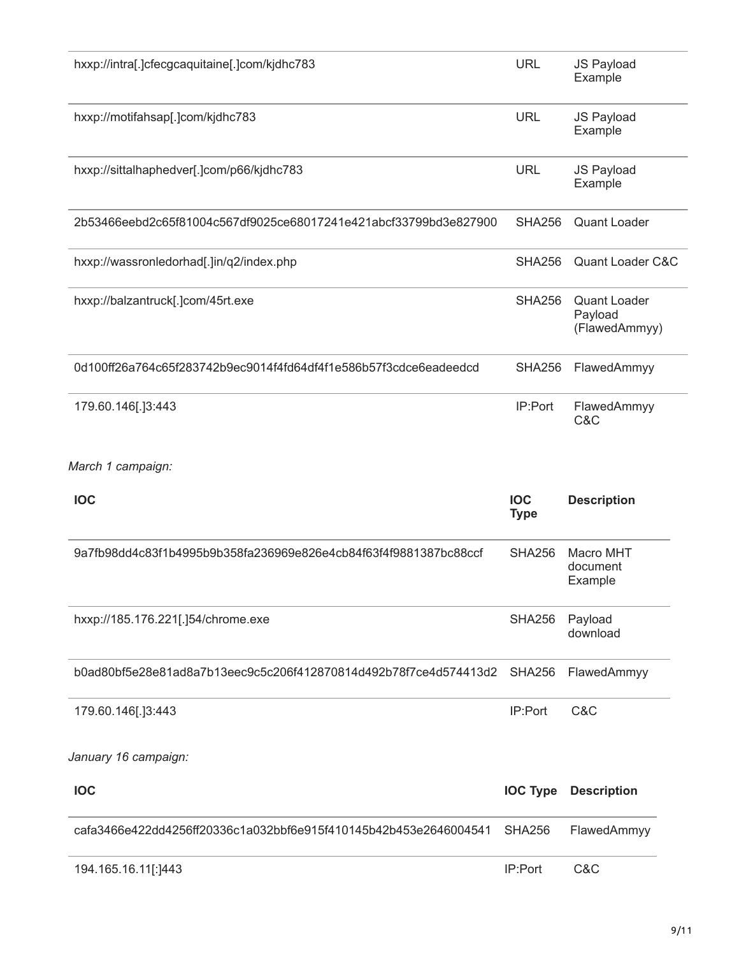| hxxp://intra[.]cfecgcaquitaine[.]com/kjdhc783                    | <b>URL</b>                | JS Payload<br>Example                           |
|------------------------------------------------------------------|---------------------------|-------------------------------------------------|
| hxxp://motifahsap[.]com/kjdhc783                                 | <b>URL</b>                | <b>JS Payload</b><br>Example                    |
| hxxp://sittalhaphedver[.]com/p66/kjdhc783                        | <b>URL</b>                | JS Payload<br>Example                           |
| 2b53466eebd2c65f81004c567df9025ce68017241e421abcf33799bd3e827900 | <b>SHA256</b>             | <b>Quant Loader</b>                             |
| hxxp://wassronledorhad[.]in/q2/index.php                         | <b>SHA256</b>             | Quant Loader C&C                                |
| hxxp://balzantruck[.]com/45rt.exe                                | <b>SHA256</b>             | <b>Quant Loader</b><br>Payload<br>(FlawedAmmyy) |
| 0d100ff26a764c65f283742b9ec9014f4fd64df4f1e586b57f3cdce6eadeedcd | <b>SHA256</b>             | FlawedAmmyy                                     |
| 179.60.146[.]3:443                                               | IP:Port                   | FlawedAmmyy<br>C&C                              |
| March 1 campaign:                                                |                           |                                                 |
| <b>IOC</b>                                                       | <b>IOC</b><br><b>Type</b> | <b>Description</b>                              |
| 9a7fb98dd4c83f1b4995b9b358fa236969e826e4cb84f63f4f9881387bc88ccf | <b>SHA256</b>             | Macro MHT<br>document<br>Example                |
| hxxp://185.176.221[.]54/chrome.exe                               | <b>SHA256</b>             | Payload<br>download                             |
| b0ad80bf5e28e81ad8a7b13eec9c5c206f412870814d492b78f7ce4d574413d2 | <b>SHA256</b>             | FlawedAmmyy                                     |
| 179.60.146[.]3:443                                               | IP:Port                   | C&C                                             |
| January 16 campaign:                                             |                           |                                                 |
| <b>IOC</b>                                                       | <b>IOC Type</b>           | <b>Description</b>                              |
| cafa3466e422dd4256ff20336c1a032bbf6e915f410145b42b453e2646004541 | <b>SHA256</b>             | FlawedAmmyy                                     |
| 194.165.16.11[:]443                                              | IP:Port                   | C&C                                             |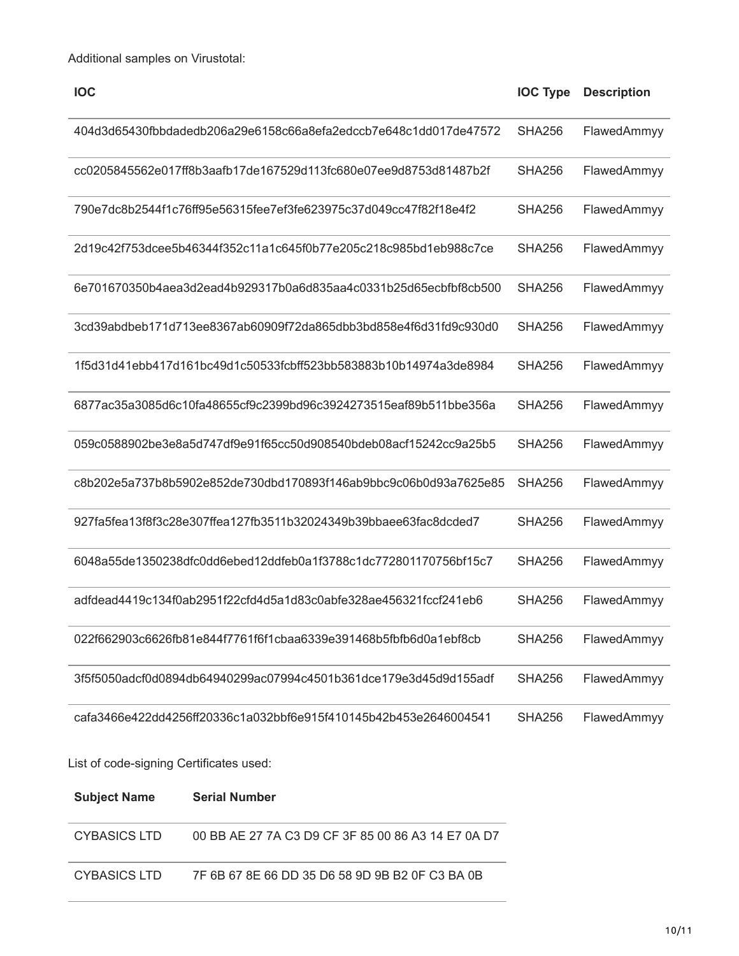| <b>IOC</b>                                                       | <b>IOC Type</b> | <b>Description</b> |
|------------------------------------------------------------------|-----------------|--------------------|
| 404d3d65430fbbdadedb206a29e6158c66a8efa2edccb7e648c1dd017de47572 | <b>SHA256</b>   | FlawedAmmyy        |
| cc0205845562e017ff8b3aafb17de167529d113fc680e07ee9d8753d81487b2f | <b>SHA256</b>   | FlawedAmmyy        |
| 790e7dc8b2544f1c76ff95e56315fee7ef3fe623975c37d049cc47f82f18e4f2 | <b>SHA256</b>   | FlawedAmmyy        |
| 2d19c42f753dcee5b46344f352c11a1c645f0b77e205c218c985bd1eb988c7ce | <b>SHA256</b>   | FlawedAmmyy        |
| 6e701670350b4aea3d2ead4b929317b0a6d835aa4c0331b25d65ecbfbf8cb500 | <b>SHA256</b>   | FlawedAmmyy        |
| 3cd39abdbeb171d713ee8367ab60909f72da865dbb3bd858e4f6d31fd9c930d0 | <b>SHA256</b>   | FlawedAmmyy        |
| 1f5d31d41ebb417d161bc49d1c50533fcbff523bb583883b10b14974a3de8984 | <b>SHA256</b>   | FlawedAmmyy        |
| 6877ac35a3085d6c10fa48655cf9c2399bd96c3924273515eaf89b511bbe356a | <b>SHA256</b>   | FlawedAmmyy        |
| 059c0588902be3e8a5d747df9e91f65cc50d908540bdeb08acf15242cc9a25b5 | <b>SHA256</b>   | FlawedAmmyy        |
| c8b202e5a737b8b5902e852de730dbd170893f146ab9bbc9c06b0d93a7625e85 | <b>SHA256</b>   | FlawedAmmyy        |
| 927fa5fea13f8f3c28e307ffea127fb3511b32024349b39bbaee63fac8dcded7 | <b>SHA256</b>   | FlawedAmmyy        |
| 6048a55de1350238dfc0dd6ebed12ddfeb0a1f3788c1dc772801170756bf15c7 | <b>SHA256</b>   | FlawedAmmyy        |
| adfdead4419c134f0ab2951f22cfd4d5a1d83c0abfe328ae456321fccf241eb6 | <b>SHA256</b>   | FlawedAmmyy        |
| 022f662903c6626fb81e844f7761f6f1cbaa6339e391468b5fbfb6d0a1ebf8cb | <b>SHA256</b>   | FlawedAmmyy        |
| 3f5f5050adcf0d0894db64940299ac07994c4501b361dce179e3d45d9d155adf | <b>SHA256</b>   | FlawedAmmyy        |
| cafa3466e422dd4256ff20336c1a032bbf6e915f410145b42b453e2646004541 | <b>SHA256</b>   | FlawedAmmyy        |

List of code-signing Certificates used:

 $\overline{\phantom{a}}$ 

| <b>Subject Name</b> | <b>Serial Number</b>                               |
|---------------------|----------------------------------------------------|
| CYBASICS LTD        | 00 BB AE 27 7A C3 D9 CF 3F 85 00 86 A3 14 E7 0A D7 |
| CYBASICS LTD        | 7F 6B 67 8E 66 DD 35 D6 58 9D 9B B2 0F C3 BA 0B    |

—<br>—